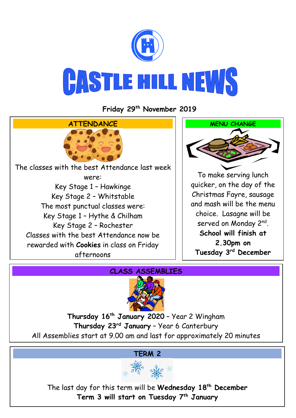

**Friday 29 th November 2019**



## **CLASS ASSEMBLIES**



**Thursday 16th January 2020** – Year 2 Wingham **Thursday 23rd January** – Year 6 Canterbury All Assemblies start at 9.00 am and last for approximately 20 minutes

## **TERM 2**



The last day for this term will be **Wednesday 18th December Term 3 will start on Tuesday 7th January**